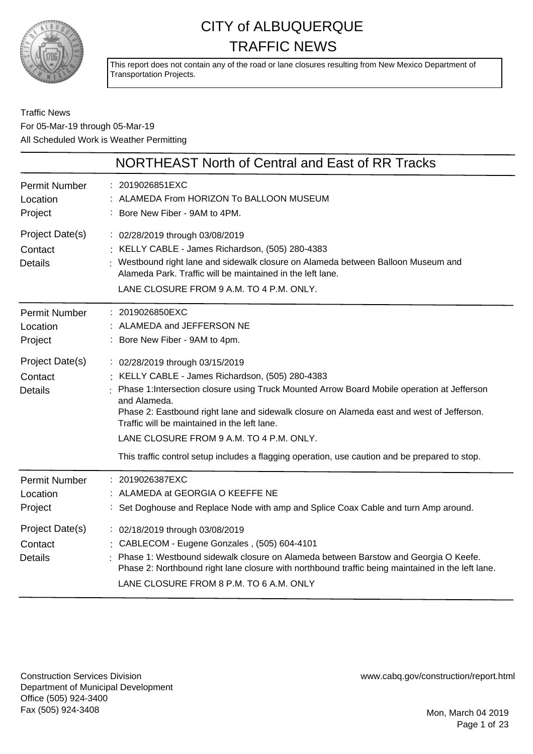

This report does not contain any of the road or lane closures resulting from New Mexico Department of Transportation Projects.

#### Traffic News For 05-Mar-19 through 05-Mar-19 All Scheduled Work is Weather Permitting

|                                              | NORTHEAST North of Central and East of RR Tracks                                                                                                                                                                                                                                                                                                                                                                                                                                              |
|----------------------------------------------|-----------------------------------------------------------------------------------------------------------------------------------------------------------------------------------------------------------------------------------------------------------------------------------------------------------------------------------------------------------------------------------------------------------------------------------------------------------------------------------------------|
| <b>Permit Number</b><br>Location<br>Project  | : 2019026851EXC<br>: ALAMEDA From HORIZON To BALLOON MUSEUM<br>: Bore New Fiber - 9AM to 4PM.                                                                                                                                                                                                                                                                                                                                                                                                 |
| Project Date(s)<br>Contact<br><b>Details</b> | : 02/28/2019 through 03/08/2019<br>: KELLY CABLE - James Richardson, (505) 280-4383<br>Westbound right lane and sidewalk closure on Alameda between Balloon Museum and<br>Alameda Park. Traffic will be maintained in the left lane.<br>LANE CLOSURE FROM 9 A.M. TO 4 P.M. ONLY.                                                                                                                                                                                                              |
| <b>Permit Number</b><br>Location<br>Project  | : 2019026850EXC<br>: ALAMEDA and JEFFERSON NE<br>Bore New Fiber - 9AM to 4pm.                                                                                                                                                                                                                                                                                                                                                                                                                 |
| Project Date(s)<br>Contact<br><b>Details</b> | : 02/28/2019 through 03/15/2019<br>: KELLY CABLE - James Richardson, (505) 280-4383<br>Phase 1: Intersection closure using Truck Mounted Arrow Board Mobile operation at Jefferson<br>and Alameda.<br>Phase 2: Eastbound right lane and sidewalk closure on Alameda east and west of Jefferson.<br>Traffic will be maintained in the left lane.<br>LANE CLOSURE FROM 9 A.M. TO 4 P.M. ONLY.<br>This traffic control setup includes a flagging operation, use caution and be prepared to stop. |
| <b>Permit Number</b><br>Location<br>Project  | : 2019026387EXC<br>ALAMEDA at GEORGIA O KEEFFE NE<br>: Set Doghouse and Replace Node with amp and Splice Coax Cable and turn Amp around.                                                                                                                                                                                                                                                                                                                                                      |
| Project Date(s)<br>Contact<br><b>Details</b> | : 02/18/2019 through 03/08/2019<br>: CABLECOM - Eugene Gonzales, (505) 604-4101<br>Phase 1: Westbound sidewalk closure on Alameda between Barstow and Georgia O Keefe.<br>Phase 2: Northbound right lane closure with northbound traffic being maintained in the left lane.<br>LANE CLOSURE FROM 8 P.M. TO 6 A.M. ONLY                                                                                                                                                                        |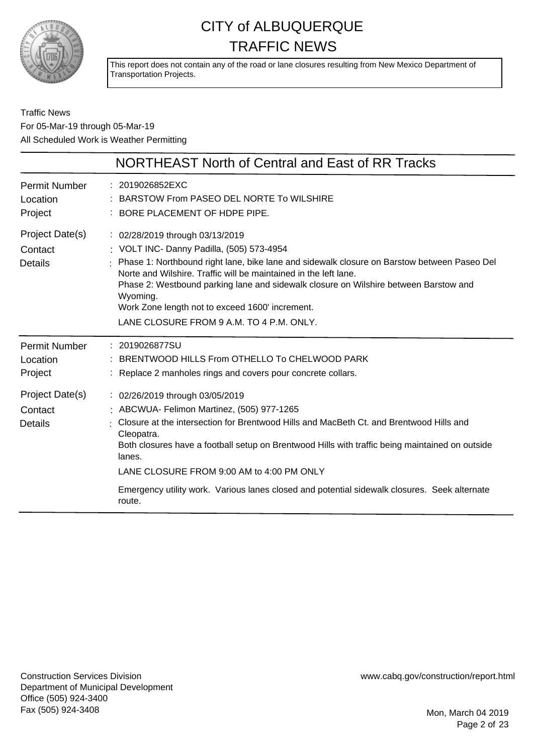

This report does not contain any of the road or lane closures resulting from New Mexico Department of Transportation Projects.

Traffic News For 05-Mar-19 through 05-Mar-19 All Scheduled Work is Weather Permitting

|                                              | NORTHEAST North of Central and East of RR Tracks                                                                                                                                                                                                                                                                                                                                                                                                           |
|----------------------------------------------|------------------------------------------------------------------------------------------------------------------------------------------------------------------------------------------------------------------------------------------------------------------------------------------------------------------------------------------------------------------------------------------------------------------------------------------------------------|
| <b>Permit Number</b><br>Location<br>Project  | : 2019026852EXC<br>: BARSTOW From PASEO DEL NORTE To WILSHIRE<br>: BORE PLACEMENT OF HDPE PIPE.                                                                                                                                                                                                                                                                                                                                                            |
| Project Date(s)<br>Contact<br><b>Details</b> | : 02/28/2019 through 03/13/2019<br>: VOLT INC- Danny Padilla, (505) 573-4954<br>: Phase 1: Northbound right lane, bike lane and sidewalk closure on Barstow between Paseo Del<br>Norte and Wilshire. Traffic will be maintained in the left lane.<br>Phase 2: Westbound parking lane and sidewalk closure on Wilshire between Barstow and<br>Wyoming.<br>Work Zone length not to exceed 1600' increment.<br>LANE CLOSURE FROM 9 A.M. TO 4 P.M. ONLY.       |
| <b>Permit Number</b><br>Location<br>Project  | : 2019026877SU<br>BRENTWOOD HILLS From OTHELLO To CHELWOOD PARK<br>Replace 2 manholes rings and covers pour concrete collars.                                                                                                                                                                                                                                                                                                                              |
| Project Date(s)<br>Contact<br><b>Details</b> | : 02/26/2019 through 03/05/2019<br>: ABCWUA- Felimon Martinez, (505) 977-1265<br>Closure at the intersection for Brentwood Hills and MacBeth Ct. and Brentwood Hills and<br>Cleopatra.<br>Both closures have a football setup on Brentwood Hills with traffic being maintained on outside<br>lanes.<br>LANE CLOSURE FROM 9:00 AM to 4:00 PM ONLY<br>Emergency utility work. Various lanes closed and potential sidewalk closures. Seek alternate<br>route. |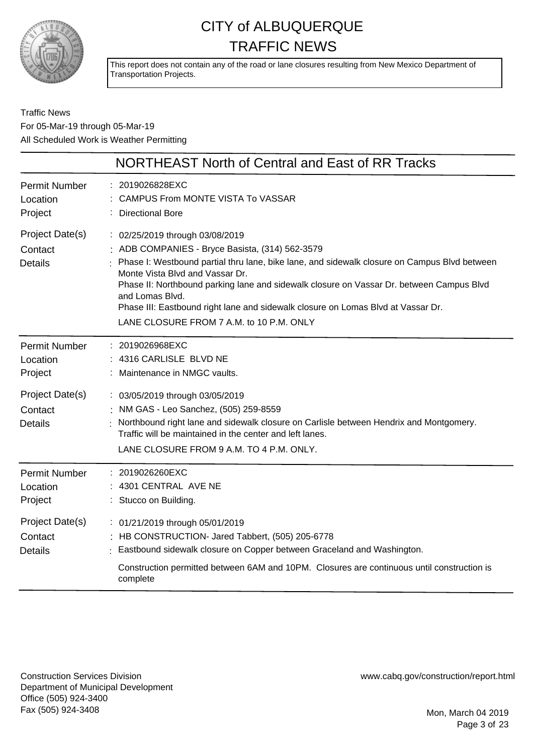

This report does not contain any of the road or lane closures resulting from New Mexico Department of Transportation Projects.

Traffic News For 05-Mar-19 through 05-Mar-19 All Scheduled Work is Weather Permitting

|                                              | NORTHEAST North of Central and East of RR Tracks                                                                                                                                                                                                                                                                                                                                                                                                                       |
|----------------------------------------------|------------------------------------------------------------------------------------------------------------------------------------------------------------------------------------------------------------------------------------------------------------------------------------------------------------------------------------------------------------------------------------------------------------------------------------------------------------------------|
| <b>Permit Number</b><br>Location<br>Project  | : 2019026828EXC<br>: CAMPUS From MONTE VISTA To VASSAR<br><b>Directional Bore</b>                                                                                                                                                                                                                                                                                                                                                                                      |
| Project Date(s)<br>Contact<br><b>Details</b> | : 02/25/2019 through 03/08/2019<br>: ADB COMPANIES - Bryce Basista, (314) 562-3579<br>: Phase I: Westbound partial thru lane, bike lane, and sidewalk closure on Campus Blvd between<br>Monte Vista Blvd and Vassar Dr.<br>Phase II: Northbound parking lane and sidewalk closure on Vassar Dr. between Campus Blvd<br>and Lomas Blvd.<br>Phase III: Eastbound right lane and sidewalk closure on Lomas Blvd at Vassar Dr.<br>LANE CLOSURE FROM 7 A.M. to 10 P.M. ONLY |
| <b>Permit Number</b><br>Location<br>Project  | : 2019026968EXC<br>: 4316 CARLISLE BLVD NE<br>: Maintenance in NMGC vaults.                                                                                                                                                                                                                                                                                                                                                                                            |
| Project Date(s)<br>Contact<br><b>Details</b> | : 03/05/2019 through 03/05/2019<br>NM GAS - Leo Sanchez, (505) 259-8559<br>: Northbound right lane and sidewalk closure on Carlisle between Hendrix and Montgomery.<br>Traffic will be maintained in the center and left lanes.<br>LANE CLOSURE FROM 9 A.M. TO 4 P.M. ONLY.                                                                                                                                                                                            |
| <b>Permit Number</b><br>Location<br>Project  | : 2019026260EXC<br>: 4301 CENTRAL AVE NE<br>: Stucco on Building.                                                                                                                                                                                                                                                                                                                                                                                                      |
| Project Date(s)<br>Contact<br><b>Details</b> | : 01/21/2019 through 05/01/2019<br>: HB CONSTRUCTION- Jared Tabbert, (505) 205-6778<br>Eastbound sidewalk closure on Copper between Graceland and Washington.<br>Construction permitted between 6AM and 10PM. Closures are continuous until construction is<br>complete                                                                                                                                                                                                |

Construction Services Division Department of Municipal Development Office (505) 924-3400 Fax (505) 924-3408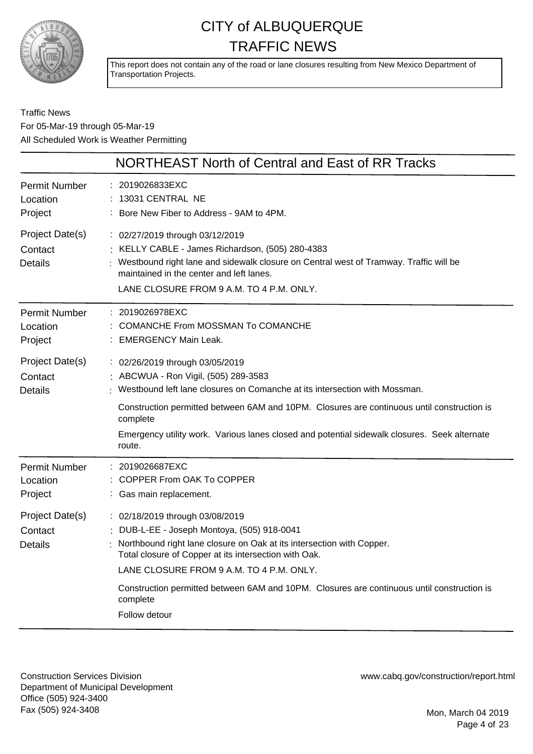

This report does not contain any of the road or lane closures resulting from New Mexico Department of Transportation Projects.

#### Traffic News For 05-Mar-19 through 05-Mar-19 All Scheduled Work is Weather Permitting

|                                              | NORTHEAST North of Central and East of RR Tracks                                                                                                                                                                                                                                                                                                                            |
|----------------------------------------------|-----------------------------------------------------------------------------------------------------------------------------------------------------------------------------------------------------------------------------------------------------------------------------------------------------------------------------------------------------------------------------|
| <b>Permit Number</b><br>Location<br>Project  | : 2019026833EXC<br>13031 CENTRAL NE<br>: Bore New Fiber to Address - 9AM to 4PM.                                                                                                                                                                                                                                                                                            |
| Project Date(s)<br>Contact<br><b>Details</b> | : 02/27/2019 through 03/12/2019<br>: KELLY CABLE - James Richardson, (505) 280-4383<br>Westbound right lane and sidewalk closure on Central west of Tramway. Traffic will be<br>maintained in the center and left lanes.<br>LANE CLOSURE FROM 9 A.M. TO 4 P.M. ONLY.                                                                                                        |
| <b>Permit Number</b><br>Location<br>Project  | : 2019026978EXC<br><b>COMANCHE From MOSSMAN To COMANCHE</b><br>: EMERGENCY Main Leak.                                                                                                                                                                                                                                                                                       |
| Project Date(s)<br>Contact<br><b>Details</b> | : 02/26/2019 through 03/05/2019<br>: ABCWUA - Ron Vigil, (505) 289-3583<br>: Westbound left lane closures on Comanche at its intersection with Mossman.<br>Construction permitted between 6AM and 10PM. Closures are continuous until construction is<br>complete<br>Emergency utility work. Various lanes closed and potential sidewalk closures. Seek alternate<br>route. |
| <b>Permit Number</b><br>Location<br>Project  | : 2019026687EXC<br>: COPPER From OAK To COPPER<br>: Gas main replacement.                                                                                                                                                                                                                                                                                                   |
| Project Date(s)<br>Contact<br><b>Details</b> | : 02/18/2019 through 03/08/2019<br>: DUB-L-EE - Joseph Montoya, (505) 918-0041<br>Northbound right lane closure on Oak at its intersection with Copper.<br>Total closure of Copper at its intersection with Oak.<br>LANE CLOSURE FROM 9 A.M. TO 4 P.M. ONLY.                                                                                                                |
|                                              | Construction permitted between 6AM and 10PM. Closures are continuous until construction is<br>complete<br>Follow detour                                                                                                                                                                                                                                                     |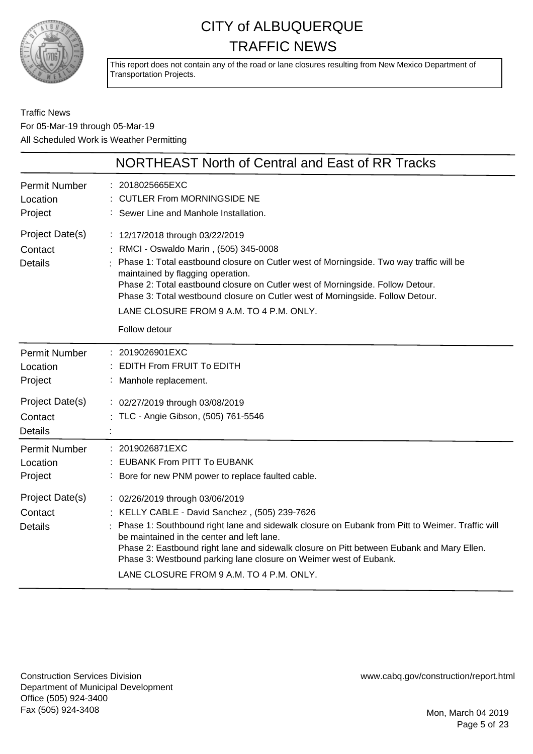

This report does not contain any of the road or lane closures resulting from New Mexico Department of Transportation Projects.

Traffic News For 05-Mar-19 through 05-Mar-19 All Scheduled Work is Weather Permitting

|                                              | NORTHEAST North of Central and East of RR Tracks                                                                                                                                                                                                                                                                                                                                                                                              |
|----------------------------------------------|-----------------------------------------------------------------------------------------------------------------------------------------------------------------------------------------------------------------------------------------------------------------------------------------------------------------------------------------------------------------------------------------------------------------------------------------------|
| <b>Permit Number</b><br>Location<br>Project  | : 2018025665EXC<br><b>CUTLER From MORNINGSIDE NE</b><br>Sewer Line and Manhole Installation.                                                                                                                                                                                                                                                                                                                                                  |
| Project Date(s)<br>Contact<br><b>Details</b> | : 12/17/2018 through 03/22/2019<br>: RMCI - Oswaldo Marin, (505) 345-0008<br>Phase 1: Total eastbound closure on Cutler west of Morningside. Two way traffic will be<br>maintained by flagging operation.<br>Phase 2: Total eastbound closure on Cutler west of Morningside. Follow Detour.<br>Phase 3: Total westbound closure on Cutler west of Morningside. Follow Detour.<br>LANE CLOSURE FROM 9 A.M. TO 4 P.M. ONLY.<br>Follow detour    |
| <b>Permit Number</b><br>Location<br>Project  | : 2019026901EXC<br><b>EDITH From FRUIT To EDITH</b><br>: Manhole replacement.                                                                                                                                                                                                                                                                                                                                                                 |
| Project Date(s)<br>Contact<br><b>Details</b> | : 02/27/2019 through 03/08/2019<br>: TLC - Angie Gibson, (505) 761-5546                                                                                                                                                                                                                                                                                                                                                                       |
| <b>Permit Number</b><br>Location<br>Project  | : 2019026871EXC<br><b>EUBANK From PITT To EUBANK</b><br>: Bore for new PNM power to replace faulted cable.                                                                                                                                                                                                                                                                                                                                    |
| Project Date(s)<br>Contact<br><b>Details</b> | : 02/26/2019 through 03/06/2019<br>KELLY CABLE - David Sanchez, (505) 239-7626<br>Phase 1: Southbound right lane and sidewalk closure on Eubank from Pitt to Weimer. Traffic will<br>be maintained in the center and left lane.<br>Phase 2: Eastbound right lane and sidewalk closure on Pitt between Eubank and Mary Ellen.<br>Phase 3: Westbound parking lane closure on Weimer west of Eubank.<br>LANE CLOSURE FROM 9 A.M. TO 4 P.M. ONLY. |
|                                              |                                                                                                                                                                                                                                                                                                                                                                                                                                               |

Construction Services Division Department of Municipal Development Office (505) 924-3400 Fax (505) 924-3408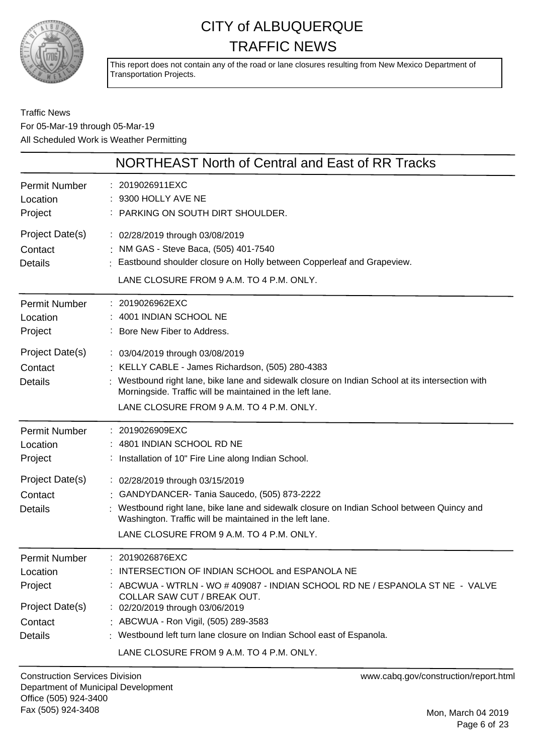

This report does not contain any of the road or lane closures resulting from New Mexico Department of Transportation Projects.

#### Traffic News For 05-Mar-19 through 05-Mar-19 All Scheduled Work is Weather Permitting

|                                                                                             | NORTHEAST North of Central and East of RR Tracks                                                                                                                                                                                                                                                                                       |
|---------------------------------------------------------------------------------------------|----------------------------------------------------------------------------------------------------------------------------------------------------------------------------------------------------------------------------------------------------------------------------------------------------------------------------------------|
| Permit Number<br>Location<br>Project                                                        | : 2019026911EXC<br>: 9300 HOLLY AVE NE<br>: PARKING ON SOUTH DIRT SHOULDER.                                                                                                                                                                                                                                                            |
| Project Date(s)<br>Contact<br><b>Details</b>                                                | : 02/28/2019 through 03/08/2019<br>: NM GAS - Steve Baca, (505) 401-7540<br>: Eastbound shoulder closure on Holly between Copperleaf and Grapeview.<br>LANE CLOSURE FROM 9 A.M. TO 4 P.M. ONLY.                                                                                                                                        |
| Permit Number<br>Location<br>Project                                                        | : 2019026962EXC<br>4001 INDIAN SCHOOL NE<br>: Bore New Fiber to Address.                                                                                                                                                                                                                                                               |
| Project Date(s)<br>Contact<br><b>Details</b>                                                | : 03/04/2019 through 03/08/2019<br>: KELLY CABLE - James Richardson, (505) 280-4383<br>: Westbound right lane, bike lane and sidewalk closure on Indian School at its intersection with<br>Morningside. Traffic will be maintained in the left lane.<br>LANE CLOSURE FROM 9 A.M. TO 4 P.M. ONLY.                                       |
| <b>Permit Number</b><br>Location<br>Project                                                 | : 2019026909EXC<br>: 4801 INDIAN SCHOOL RD NE<br>: Installation of 10" Fire Line along Indian School.                                                                                                                                                                                                                                  |
| Project Date(s)<br>Contact<br><b>Details</b>                                                | : 02/28/2019 through 03/15/2019<br>: GANDYDANCER-Tania Saucedo, (505) 873-2222<br>Westbound right lane, bike lane and sidewalk closure on Indian School between Quincy and<br>Washington. Traffic will be maintained in the left lane.<br>LANE CLOSURE FROM 9 A.M. TO 4 P.M. ONLY.                                                     |
| <b>Permit Number</b><br>Location<br>Project<br>Project Date(s)<br>Contact<br><b>Details</b> | : 2019026876EXC<br>: INTERSECTION OF INDIAN SCHOOL and ESPANOLA NE<br>: ABCWUA - WTRLN - WO # 409087 - INDIAN SCHOOL RD NE / ESPANOLA ST NE - VALVE<br>COLLAR SAW CUT / BREAK OUT.<br>: 02/20/2019 through 03/06/2019<br>: ABCWUA - Ron Vigil, (505) 289-3583<br>: Westbound left turn lane closure on Indian School east of Espanola. |
|                                                                                             | LANE CLOSURE FROM 9 A.M. TO 4 P.M. ONLY.                                                                                                                                                                                                                                                                                               |

Construction Services Division Department of Municipal Development Office (505) 924-3400 Fax (505) 924-3408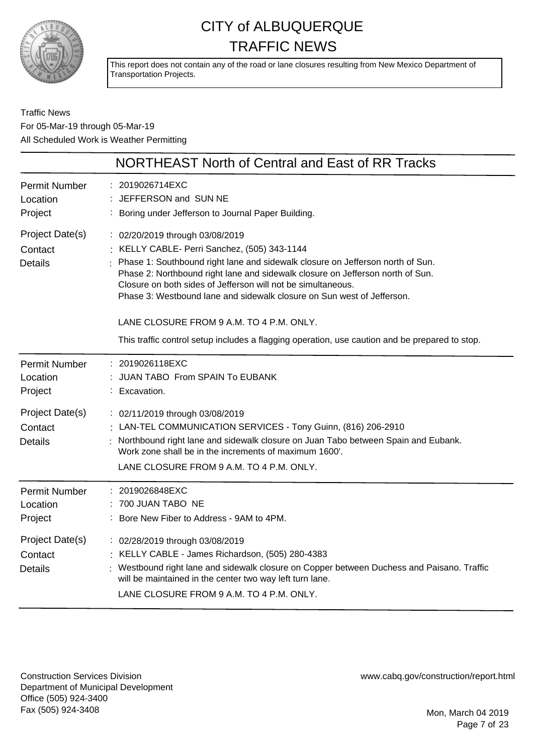

This report does not contain any of the road or lane closures resulting from New Mexico Department of Transportation Projects.

Traffic News For 05-Mar-19 through 05-Mar-19 All Scheduled Work is Weather Permitting

|                                              | NORTHEAST North of Central and East of RR Tracks                                                                                                                                                                                                                                                                                                                                                                                                                                                                                            |
|----------------------------------------------|---------------------------------------------------------------------------------------------------------------------------------------------------------------------------------------------------------------------------------------------------------------------------------------------------------------------------------------------------------------------------------------------------------------------------------------------------------------------------------------------------------------------------------------------|
| <b>Permit Number</b><br>Location<br>Project  | 2019026714EXC<br>JEFFERSON and SUN NE<br>Boring under Jefferson to Journal Paper Building.                                                                                                                                                                                                                                                                                                                                                                                                                                                  |
| Project Date(s)<br>Contact<br><b>Details</b> | : 02/20/2019 through 03/08/2019<br>: KELLY CABLE- Perri Sanchez, (505) 343-1144<br>Phase 1: Southbound right lane and sidewalk closure on Jefferson north of Sun.<br>Phase 2: Northbound right lane and sidewalk closure on Jefferson north of Sun.<br>Closure on both sides of Jefferson will not be simultaneous.<br>Phase 3: Westbound lane and sidewalk closure on Sun west of Jefferson.<br>LANE CLOSURE FROM 9 A.M. TO 4 P.M. ONLY.<br>This traffic control setup includes a flagging operation, use caution and be prepared to stop. |
| <b>Permit Number</b><br>Location<br>Project  | : 2019026118EXC<br>JUAN TABO From SPAIN To EUBANK<br>: Excavation.                                                                                                                                                                                                                                                                                                                                                                                                                                                                          |
| Project Date(s)<br>Contact<br><b>Details</b> | : 02/11/2019 through 03/08/2019<br>LAN-TEL COMMUNICATION SERVICES - Tony Guinn, (816) 206-2910<br>Northbound right lane and sidewalk closure on Juan Tabo between Spain and Eubank.<br>Work zone shall be in the increments of maximum 1600'.<br>LANE CLOSURE FROM 9 A.M. TO 4 P.M. ONLY.                                                                                                                                                                                                                                                   |
| <b>Permit Number</b><br>Location<br>Project  | 2019026848EXC<br>700 JUAN TABO NE<br>Bore New Fiber to Address - 9AM to 4PM.                                                                                                                                                                                                                                                                                                                                                                                                                                                                |
| Project Date(s)<br>Contact<br><b>Details</b> | : 02/28/2019 through 03/08/2019<br>: KELLY CABLE - James Richardson, (505) 280-4383<br>Westbound right lane and sidewalk closure on Copper between Duchess and Paisano. Traffic<br>will be maintained in the center two way left turn lane.<br>LANE CLOSURE FROM 9 A.M. TO 4 P.M. ONLY.                                                                                                                                                                                                                                                     |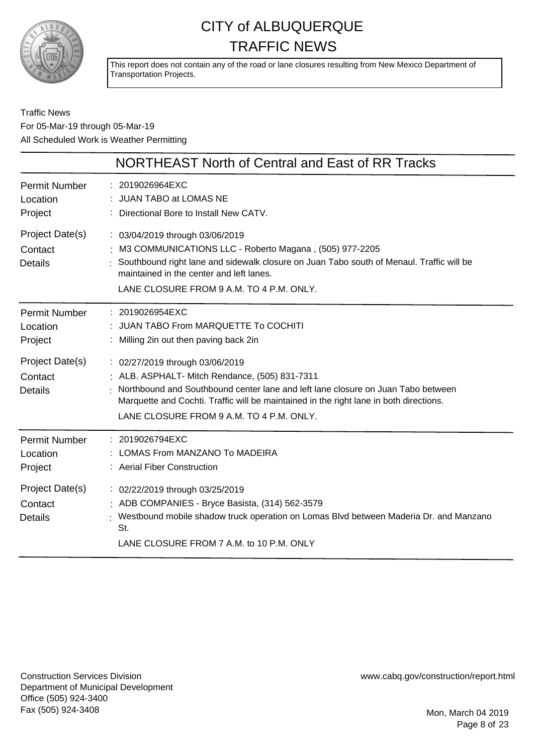

This report does not contain any of the road or lane closures resulting from New Mexico Department of Transportation Projects.

Traffic News For 05-Mar-19 through 05-Mar-19 All Scheduled Work is Weather Permitting

|                                              | NORTHEAST North of Central and East of RR Tracks                                                                                                                                                                                                                                                            |
|----------------------------------------------|-------------------------------------------------------------------------------------------------------------------------------------------------------------------------------------------------------------------------------------------------------------------------------------------------------------|
| <b>Permit Number</b><br>Location<br>Project  | : 2019026964EXC<br>JUAN TABO at LOMAS NE<br>Directional Bore to Install New CATV.                                                                                                                                                                                                                           |
| Project Date(s)<br>Contact<br><b>Details</b> | : 03/04/2019 through 03/06/2019<br>M3 COMMUNICATIONS LLC - Roberto Magana, (505) 977-2205<br>Southbound right lane and sidewalk closure on Juan Tabo south of Menaul. Traffic will be<br>maintained in the center and left lanes.<br>LANE CLOSURE FROM 9 A.M. TO 4 P.M. ONLY.                               |
| <b>Permit Number</b><br>Location<br>Project  | : 2019026954EXC<br>: JUAN TABO From MARQUETTE To COCHITI<br>: Milling 2in out then paving back 2in                                                                                                                                                                                                          |
| Project Date(s)<br>Contact<br><b>Details</b> | : 02/27/2019 through 03/06/2019<br>: ALB. ASPHALT- Mitch Rendance, (505) 831-7311<br>Northbound and Southbound center lane and left lane closure on Juan Tabo between<br>Marquette and Cochti. Traffic will be maintained in the right lane in both directions.<br>LANE CLOSURE FROM 9 A.M. TO 4 P.M. ONLY. |
| <b>Permit Number</b><br>Location<br>Project  | : 2019026794EXC<br>LOMAS From MANZANO To MADEIRA<br>: Aerial Fiber Construction                                                                                                                                                                                                                             |
| Project Date(s)<br>Contact<br><b>Details</b> | : 02/22/2019 through 03/25/2019<br>: ADB COMPANIES - Bryce Basista, (314) 562-3579<br>Westbound mobile shadow truck operation on Lomas Blvd between Maderia Dr. and Manzano<br>St.<br>LANE CLOSURE FROM 7 A.M. to 10 P.M. ONLY                                                                              |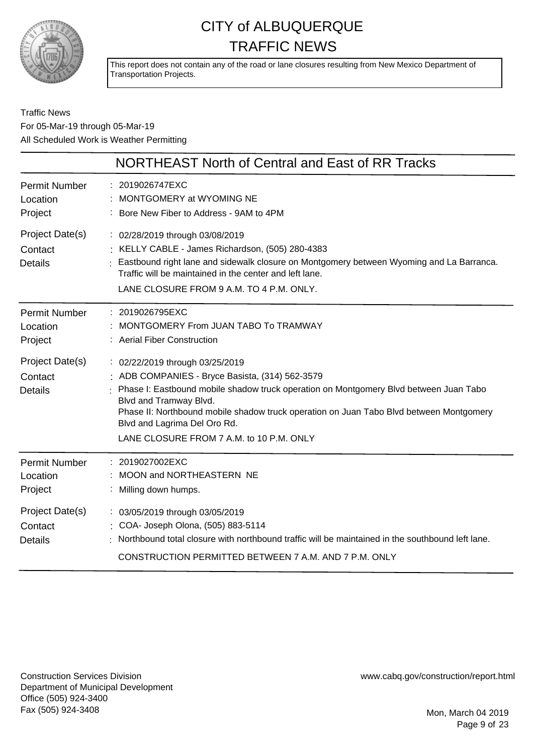

This report does not contain any of the road or lane closures resulting from New Mexico Department of Transportation Projects.

#### Traffic News For 05-Mar-19 through 05-Mar-19 All Scheduled Work is Weather Permitting

|                                              | NORTHEAST North of Central and East of RR Tracks                                                                                                                                                                                                                                                                                                                               |
|----------------------------------------------|--------------------------------------------------------------------------------------------------------------------------------------------------------------------------------------------------------------------------------------------------------------------------------------------------------------------------------------------------------------------------------|
| <b>Permit Number</b><br>Location<br>Project  | : 2019026747EXC<br>MONTGOMERY at WYOMING NE<br>: Bore New Fiber to Address - 9AM to 4PM                                                                                                                                                                                                                                                                                        |
| Project Date(s)<br>Contact<br><b>Details</b> | : 02/28/2019 through 03/08/2019<br>: KELLY CABLE - James Richardson, (505) 280-4383<br>: Eastbound right lane and sidewalk closure on Montgomery between Wyoming and La Barranca.<br>Traffic will be maintained in the center and left lane.<br>LANE CLOSURE FROM 9 A.M. TO 4 P.M. ONLY.                                                                                       |
| <b>Permit Number</b><br>Location<br>Project  | : 2019026795EXC<br>MONTGOMERY From JUAN TABO To TRAMWAY<br>: Aerial Fiber Construction                                                                                                                                                                                                                                                                                         |
| Project Date(s)<br>Contact<br><b>Details</b> | : 02/22/2019 through 03/25/2019<br>: ADB COMPANIES - Bryce Basista, (314) 562-3579<br>: Phase I: Eastbound mobile shadow truck operation on Montgomery Blvd between Juan Tabo<br>Blvd and Tramway Blvd.<br>Phase II: Northbound mobile shadow truck operation on Juan Tabo Blvd between Montgomery<br>Blvd and Lagrima Del Oro Rd.<br>LANE CLOSURE FROM 7 A.M. to 10 P.M. ONLY |
| <b>Permit Number</b><br>Location<br>Project  | : 2019027002EXC<br>MOON and NORTHEASTERN NE<br>: Milling down humps.                                                                                                                                                                                                                                                                                                           |
| Project Date(s)<br>Contact<br><b>Details</b> | : 03/05/2019 through 03/05/2019<br>: COA- Joseph Olona, (505) 883-5114<br>Northbound total closure with northbound traffic will be maintained in the southbound left lane.<br>CONSTRUCTION PERMITTED BETWEEN 7 A.M. AND 7 P.M. ONLY                                                                                                                                            |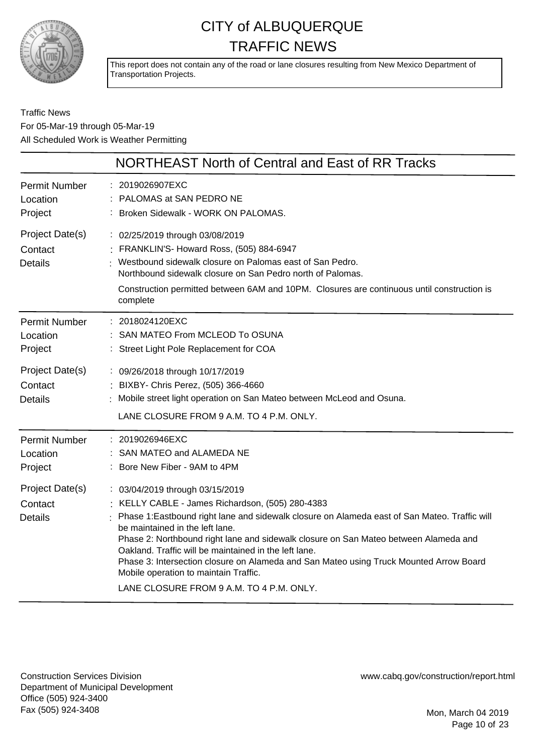

This report does not contain any of the road or lane closures resulting from New Mexico Department of Transportation Projects.

Traffic News For 05-Mar-19 through 05-Mar-19 All Scheduled Work is Weather Permitting

|                                              | NORTHEAST North of Central and East of RR Tracks                                                                                                                                                                                                                                                                                                                                                                                                                                                                                                       |
|----------------------------------------------|--------------------------------------------------------------------------------------------------------------------------------------------------------------------------------------------------------------------------------------------------------------------------------------------------------------------------------------------------------------------------------------------------------------------------------------------------------------------------------------------------------------------------------------------------------|
| <b>Permit Number</b><br>Location<br>Project  | : 2019026907EXC<br>PALOMAS at SAN PEDRO NE<br>: Broken Sidewalk - WORK ON PALOMAS.                                                                                                                                                                                                                                                                                                                                                                                                                                                                     |
| Project Date(s)<br>Contact<br><b>Details</b> | : 02/25/2019 through 03/08/2019<br>FRANKLIN'S- Howard Ross, (505) 884-6947<br>Westbound sidewalk closure on Palomas east of San Pedro.<br>Northbound sidewalk closure on San Pedro north of Palomas.<br>Construction permitted between 6AM and 10PM. Closures are continuous until construction is<br>complete                                                                                                                                                                                                                                         |
| <b>Permit Number</b><br>Location<br>Project  | : 2018024120EXC<br>SAN MATEO From MCLEOD To OSUNA<br>: Street Light Pole Replacement for COA                                                                                                                                                                                                                                                                                                                                                                                                                                                           |
| Project Date(s)<br>Contact<br><b>Details</b> | : 09/26/2018 through 10/17/2019<br>: BIXBY- Chris Perez, (505) 366-4660<br>Mobile street light operation on San Mateo between McLeod and Osuna.<br>LANE CLOSURE FROM 9 A.M. TO 4 P.M. ONLY.                                                                                                                                                                                                                                                                                                                                                            |
| <b>Permit Number</b><br>Location<br>Project  | : 2019026946EXC<br>SAN MATEO and ALAMEDA NE<br>: Bore New Fiber - 9AM to 4PM                                                                                                                                                                                                                                                                                                                                                                                                                                                                           |
| Project Date(s)<br>Contact<br><b>Details</b> | : 03/04/2019 through 03/15/2019<br>: KELLY CABLE - James Richardson, (505) 280-4383<br>Phase 1:Eastbound right lane and sidewalk closure on Alameda east of San Mateo. Traffic will<br>be maintained in the left lane.<br>Phase 2: Northbound right lane and sidewalk closure on San Mateo between Alameda and<br>Oakland. Traffic will be maintained in the left lane.<br>Phase 3: Intersection closure on Alameda and San Mateo using Truck Mounted Arrow Board<br>Mobile operation to maintain Traffic.<br>LANE CLOSURE FROM 9 A.M. TO 4 P.M. ONLY. |

Construction Services Division Department of Municipal Development Office (505) 924-3400 Fax (505) 924-3408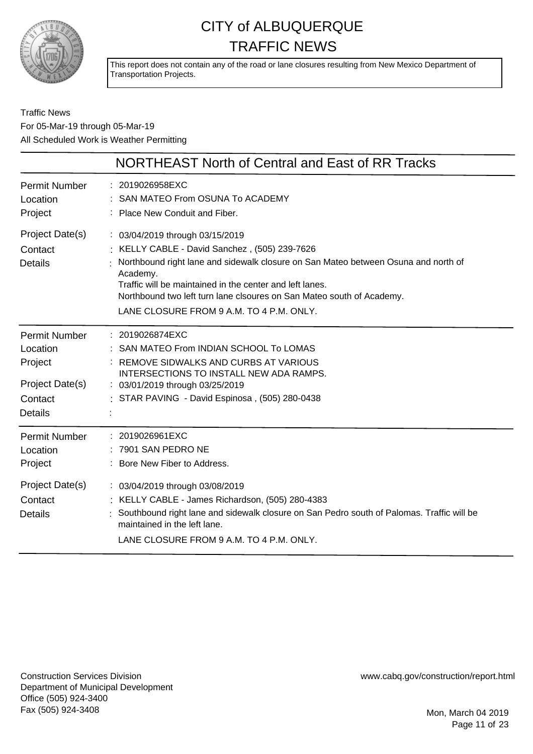

This report does not contain any of the road or lane closures resulting from New Mexico Department of Transportation Projects.

Traffic News For 05-Mar-19 through 05-Mar-19 All Scheduled Work is Weather Permitting

|                                                                                             | <b>NORTHEAST North of Central and East of RR Tracks</b>                                                                                                                                                                                                                                                                                                           |
|---------------------------------------------------------------------------------------------|-------------------------------------------------------------------------------------------------------------------------------------------------------------------------------------------------------------------------------------------------------------------------------------------------------------------------------------------------------------------|
| <b>Permit Number</b><br>Location<br>Project                                                 | : 2019026958EXC<br>SAN MATEO From OSUNA To ACADEMY<br>Place New Conduit and Fiber.                                                                                                                                                                                                                                                                                |
| Project Date(s)<br>Contact<br><b>Details</b>                                                | : 03/04/2019 through 03/15/2019<br>KELLY CABLE - David Sanchez, (505) 239-7626<br>Northbound right lane and sidewalk closure on San Mateo between Osuna and north of<br>Academy.<br>Traffic will be maintained in the center and left lanes.<br>Northbound two left turn lane clsoures on San Mateo south of Academy.<br>LANE CLOSURE FROM 9 A.M. TO 4 P.M. ONLY. |
| <b>Permit Number</b><br>Location<br>Project<br>Project Date(s)<br>Contact<br>Details        | : 2019026874EXC<br>: SAN MATEO From INDIAN SCHOOL To LOMAS<br>: REMOVE SIDWALKS AND CURBS AT VARIOUS<br>INTERSECTIONS TO INSTALL NEW ADA RAMPS.<br>: 03/01/2019 through 03/25/2019<br>: STAR PAVING - David Espinosa, (505) 280-0438                                                                                                                              |
| <b>Permit Number</b><br>Location<br>Project<br>Project Date(s)<br>Contact<br><b>Details</b> | : 2019026961EXC<br>7901 SAN PEDRO NE<br>: Bore New Fiber to Address.<br>: 03/04/2019 through 03/08/2019<br>: KELLY CABLE - James Richardson, (505) 280-4383<br>Southbound right lane and sidewalk closure on San Pedro south of Palomas. Traffic will be<br>maintained in the left lane.<br>LANE CLOSURE FROM 9 A.M. TO 4 P.M. ONLY.                              |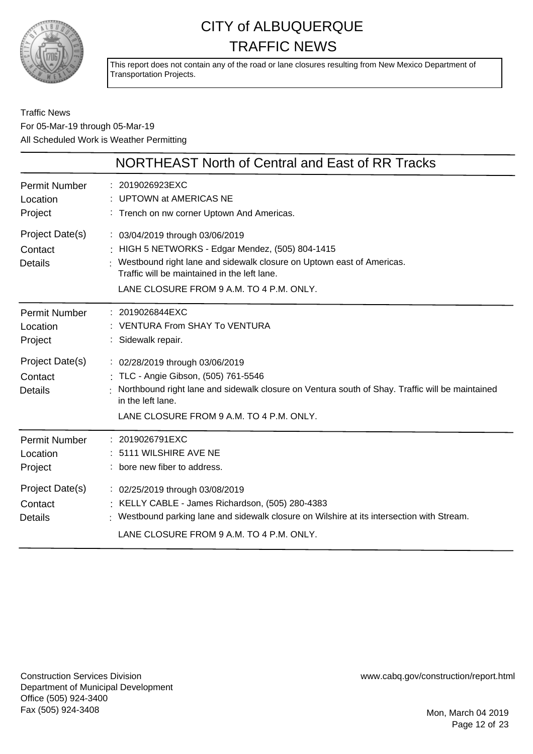

This report does not contain any of the road or lane closures resulting from New Mexico Department of Transportation Projects.

#### Traffic News For 05-Mar-19 through 05-Mar-19 All Scheduled Work is Weather Permitting

|                                              | NORTHEAST North of Central and East of RR Tracks                                                                                                                                                                                                         |
|----------------------------------------------|----------------------------------------------------------------------------------------------------------------------------------------------------------------------------------------------------------------------------------------------------------|
| <b>Permit Number</b><br>Location<br>Project  | : 2019026923EXC<br>UPTOWN at AMERICAS NE<br>: Trench on nw corner Uptown And Americas.                                                                                                                                                                   |
| Project Date(s)<br>Contact<br><b>Details</b> | : 03/04/2019 through 03/06/2019<br>: HIGH 5 NETWORKS - Edgar Mendez, (505) 804-1415<br>Westbound right lane and sidewalk closure on Uptown east of Americas.<br>Traffic will be maintained in the left lane.<br>LANE CLOSURE FROM 9 A.M. TO 4 P.M. ONLY. |
| Permit Number<br>Location<br>Project         | : 2019026844EXC<br>: VENTURA From SHAY To VENTURA<br>: Sidewalk repair.                                                                                                                                                                                  |
| Project Date(s)<br>Contact<br><b>Details</b> | : 02/28/2019 through 03/06/2019<br>: TLC - Angie Gibson, (505) 761-5546<br>Northbound right lane and sidewalk closure on Ventura south of Shay. Traffic will be maintained<br>in the left lane.<br>LANE CLOSURE FROM 9 A.M. TO 4 P.M. ONLY.              |
| <b>Permit Number</b><br>Location<br>Project  | : 2019026791EXC<br>: 5111 WILSHIRE AVE NE<br>: bore new fiber to address.                                                                                                                                                                                |
| Project Date(s)<br>Contact<br><b>Details</b> | : 02/25/2019 through 03/08/2019<br>: KELLY CABLE - James Richardson, (505) 280-4383<br>: Westbound parking lane and sidewalk closure on Wilshire at its intersection with Stream.<br>LANE CLOSURE FROM 9 A.M. TO 4 P.M. ONLY.                            |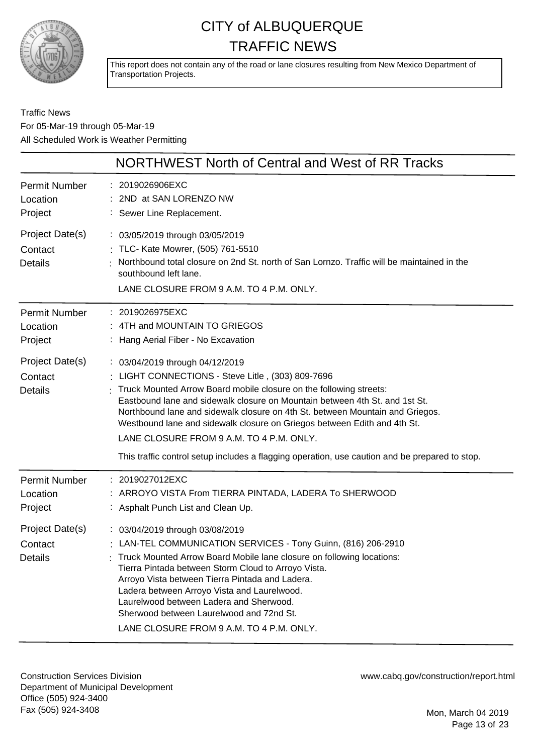

This report does not contain any of the road or lane closures resulting from New Mexico Department of Transportation Projects.

Traffic News For 05-Mar-19 through 05-Mar-19 All Scheduled Work is Weather Permitting

|                                              | NORTHWEST North of Central and West of RR Tracks                                                                                                                                                                                                                                                                                                                                                                                                                                                                                                     |
|----------------------------------------------|------------------------------------------------------------------------------------------------------------------------------------------------------------------------------------------------------------------------------------------------------------------------------------------------------------------------------------------------------------------------------------------------------------------------------------------------------------------------------------------------------------------------------------------------------|
| Permit Number<br>Location<br>Project         | : 2019026906EXC<br>: 2ND at SAN LORENZO NW<br>: Sewer Line Replacement.                                                                                                                                                                                                                                                                                                                                                                                                                                                                              |
| Project Date(s)<br>Contact<br><b>Details</b> | : 03/05/2019 through 03/05/2019<br>: TLC- Kate Mowrer, (505) 761-5510<br>Northbound total closure on 2nd St. north of San Lornzo. Traffic will be maintained in the<br>southbound left lane.<br>LANE CLOSURE FROM 9 A.M. TO 4 P.M. ONLY.                                                                                                                                                                                                                                                                                                             |
| Permit Number<br>Location<br>Project         | : 2019026975EXC<br>4TH and MOUNTAIN TO GRIEGOS<br>: Hang Aerial Fiber - No Excavation                                                                                                                                                                                                                                                                                                                                                                                                                                                                |
| Project Date(s)<br>Contact<br><b>Details</b> | : 03/04/2019 through 04/12/2019<br>: LIGHT CONNECTIONS - Steve Litle, (303) 809-7696<br>Truck Mounted Arrow Board mobile closure on the following streets:<br>Eastbound lane and sidewalk closure on Mountain between 4th St. and 1st St.<br>Northbound lane and sidewalk closure on 4th St. between Mountain and Griegos.<br>Westbound lane and sidewalk closure on Griegos between Edith and 4th St.<br>LANE CLOSURE FROM 9 A.M. TO 4 P.M. ONLY.<br>This traffic control setup includes a flagging operation, use caution and be prepared to stop. |
| Permit Number<br>Location<br>Project         | : 2019027012EXC<br>: ARROYO VISTA From TIERRA PINTADA, LADERA To SHERWOOD<br>: Asphalt Punch List and Clean Up.                                                                                                                                                                                                                                                                                                                                                                                                                                      |
| Project Date(s)<br>Contact<br>Details        | : 03/04/2019 through 03/08/2019<br>: LAN-TEL COMMUNICATION SERVICES - Tony Guinn, (816) 206-2910<br>Truck Mounted Arrow Board Mobile lane closure on following locations:<br>Tierra Pintada between Storm Cloud to Arroyo Vista.<br>Arroyo Vista between Tierra Pintada and Ladera.<br>Ladera between Arroyo Vista and Laurelwood.<br>Laurelwood between Ladera and Sherwood.<br>Sherwood between Laurelwood and 72nd St.<br>LANE CLOSURE FROM 9 A.M. TO 4 P.M. ONLY.                                                                                |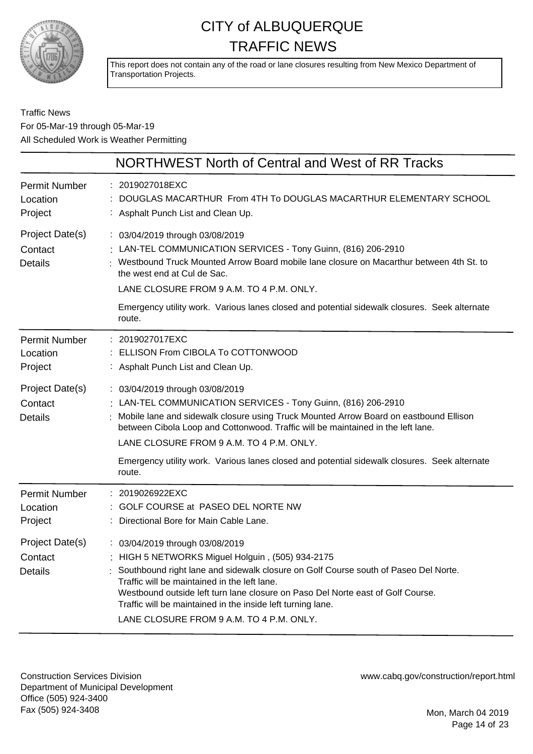

This report does not contain any of the road or lane closures resulting from New Mexico Department of Transportation Projects.

#### Traffic News For 05-Mar-19 through 05-Mar-19 All Scheduled Work is Weather Permitting

|                                              | NORTHWEST North of Central and West of RR Tracks                                                                                                                                                                                                                                                                                                                                                                                  |
|----------------------------------------------|-----------------------------------------------------------------------------------------------------------------------------------------------------------------------------------------------------------------------------------------------------------------------------------------------------------------------------------------------------------------------------------------------------------------------------------|
| <b>Permit Number</b><br>Location<br>Project  | : 2019027018EXC<br>DOUGLAS MACARTHUR From 4TH To DOUGLAS MACARTHUR ELEMENTARY SCHOOL<br>: Asphalt Punch List and Clean Up.                                                                                                                                                                                                                                                                                                        |
| Project Date(s)<br>Contact<br><b>Details</b> | : 03/04/2019 through 03/08/2019<br>: LAN-TEL COMMUNICATION SERVICES - Tony Guinn, (816) 206-2910<br>Westbound Truck Mounted Arrow Board mobile lane closure on Macarthur between 4th St. to<br>the west end at Cul de Sac.<br>LANE CLOSURE FROM 9 A.M. TO 4 P.M. ONLY.<br>Emergency utility work. Various lanes closed and potential sidewalk closures. Seek alternate<br>route.                                                  |
| <b>Permit Number</b><br>Location<br>Project  | : 2019027017EXC<br>: ELLISON From CIBOLA To COTTONWOOD<br>: Asphalt Punch List and Clean Up.                                                                                                                                                                                                                                                                                                                                      |
| Project Date(s)<br>Contact<br><b>Details</b> | : 03/04/2019 through 03/08/2019<br>LAN-TEL COMMUNICATION SERVICES - Tony Guinn, (816) 206-2910<br>Mobile lane and sidewalk closure using Truck Mounted Arrow Board on eastbound Ellison<br>between Cibola Loop and Cottonwood. Traffic will be maintained in the left lane.<br>LANE CLOSURE FROM 9 A.M. TO 4 P.M. ONLY.<br>Emergency utility work. Various lanes closed and potential sidewalk closures. Seek alternate<br>route. |
| <b>Permit Number</b><br>Location<br>Project  | : 2019026922EXC<br>: GOLF COURSE at PASEO DEL NORTE NW<br>: Directional Bore for Main Cable Lane.                                                                                                                                                                                                                                                                                                                                 |
| Project Date(s)<br>Contact<br>Details        | : 03/04/2019 through 03/08/2019<br>: HIGH 5 NETWORKS Miguel Holguin, (505) 934-2175<br>: Southbound right lane and sidewalk closure on Golf Course south of Paseo Del Norte.<br>Traffic will be maintained in the left lane.<br>Westbound outside left turn lane closure on Paso Del Norte east of Golf Course.<br>Traffic will be maintained in the inside left turning lane.<br>LANE CLOSURE FROM 9 A.M. TO 4 P.M. ONLY.        |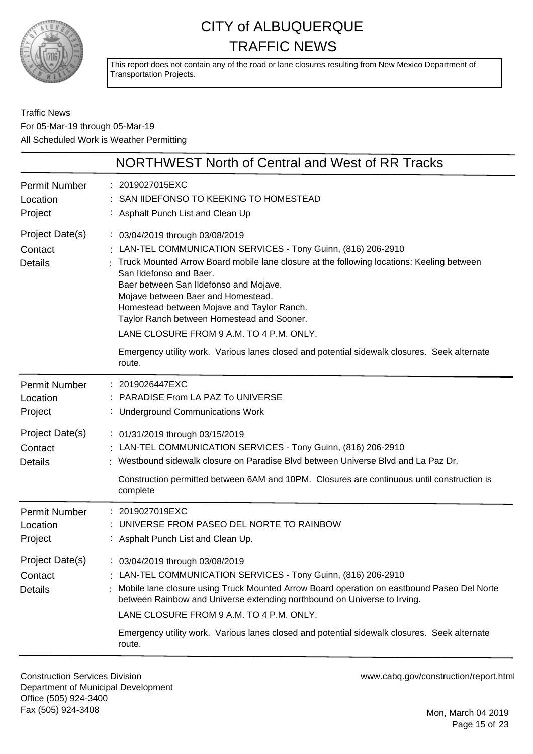

This report does not contain any of the road or lane closures resulting from New Mexico Department of Transportation Projects.

Traffic News For 05-Mar-19 through 05-Mar-19 All Scheduled Work is Weather Permitting

|                                              | NORTHWEST North of Central and West of RR Tracks                                                                                                                                                                                                                                                                                                                                                                                                                                                                                                 |
|----------------------------------------------|--------------------------------------------------------------------------------------------------------------------------------------------------------------------------------------------------------------------------------------------------------------------------------------------------------------------------------------------------------------------------------------------------------------------------------------------------------------------------------------------------------------------------------------------------|
| <b>Permit Number</b><br>Location<br>Project  | : 2019027015EXC<br>SAN IIDEFONSO TO KEEKING TO HOMESTEAD<br>: Asphalt Punch List and Clean Up                                                                                                                                                                                                                                                                                                                                                                                                                                                    |
| Project Date(s)<br>Contact<br><b>Details</b> | : 03/04/2019 through 03/08/2019<br>: LAN-TEL COMMUNICATION SERVICES - Tony Guinn, (816) 206-2910<br>Truck Mounted Arrow Board mobile lane closure at the following locations: Keeling between<br>San Ildefonso and Baer.<br>Baer between San Ildefonso and Mojave.<br>Mojave between Baer and Homestead.<br>Homestead between Mojave and Taylor Ranch.<br>Taylor Ranch between Homestead and Sooner.<br>LANE CLOSURE FROM 9 A.M. TO 4 P.M. ONLY.<br>Emergency utility work. Various lanes closed and potential sidewalk closures. Seek alternate |
|                                              | route.                                                                                                                                                                                                                                                                                                                                                                                                                                                                                                                                           |
| <b>Permit Number</b><br>Location<br>Project  | : 2019026447EXC<br>PARADISE From LA PAZ To UNIVERSE<br><b>Underground Communications Work</b>                                                                                                                                                                                                                                                                                                                                                                                                                                                    |
| Project Date(s)<br>Contact<br><b>Details</b> | : 01/31/2019 through 03/15/2019<br>: LAN-TEL COMMUNICATION SERVICES - Tony Guinn, (816) 206-2910<br>Westbound sidewalk closure on Paradise Blvd between Universe Blvd and La Paz Dr.<br>Construction permitted between 6AM and 10PM. Closures are continuous until construction is                                                                                                                                                                                                                                                               |
|                                              | complete                                                                                                                                                                                                                                                                                                                                                                                                                                                                                                                                         |
| <b>Permit Number</b><br>Location<br>Project  | : 2019027019EXC<br>UNIVERSE FROM PASEO DEL NORTE TO RAINBOW<br>: Asphalt Punch List and Clean Up.                                                                                                                                                                                                                                                                                                                                                                                                                                                |
| Project Date(s)<br>Contact<br><b>Details</b> | 03/04/2019 through 03/08/2019<br>: LAN-TEL COMMUNICATION SERVICES - Tony Guinn, (816) 206-2910<br>Mobile lane closure using Truck Mounted Arrow Board operation on eastbound Paseo Del Norte<br>between Rainbow and Universe extending northbound on Universe to Irving.<br>LANE CLOSURE FROM 9 A.M. TO 4 P.M. ONLY.<br>Emergency utility work. Various lanes closed and potential sidewalk closures. Seek alternate<br>route.                                                                                                                   |

Construction Services Division Department of Municipal Development Office (505) 924-3400 Fax (505) 924-3408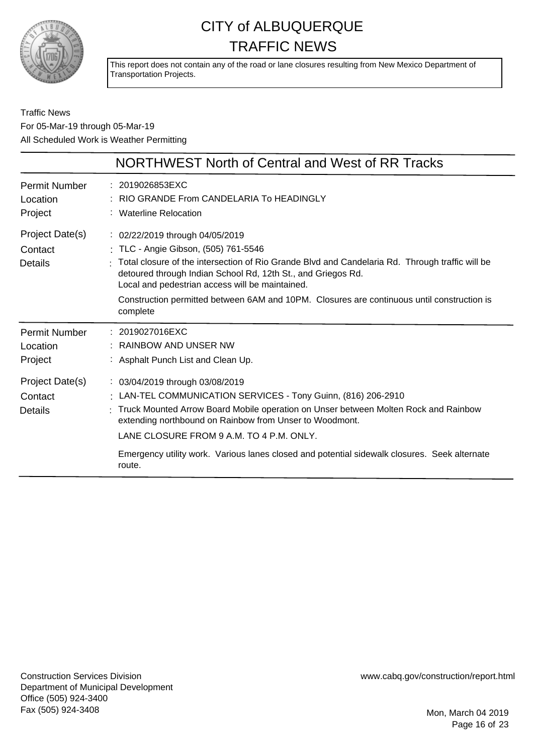

This report does not contain any of the road or lane closures resulting from New Mexico Department of Transportation Projects.

Traffic News For 05-Mar-19 through 05-Mar-19 All Scheduled Work is Weather Permitting

|                                             | NORTHWEST North of Central and West of RR Tracks                                                                                                                                                                                                                                                                                                                                                         |
|---------------------------------------------|----------------------------------------------------------------------------------------------------------------------------------------------------------------------------------------------------------------------------------------------------------------------------------------------------------------------------------------------------------------------------------------------------------|
| <b>Permit Number</b><br>Location<br>Project | : 2019026853EXC<br>RIO GRANDE From CANDELARIA To HEADINGLY<br>: Waterline Relocation                                                                                                                                                                                                                                                                                                                     |
| Project Date(s)<br>Contact<br>Details       | : 02/22/2019 through 04/05/2019<br>: TLC - Angie Gibson, (505) 761-5546<br>Total closure of the intersection of Rio Grande Blvd and Candelaria Rd. Through traffic will be<br>detoured through Indian School Rd, 12th St., and Griegos Rd.<br>Local and pedestrian access will be maintained.<br>Construction permitted between 6AM and 10PM. Closures are continuous until construction is<br>complete  |
| <b>Permit Number</b><br>Location<br>Project | : 2019027016EXC<br><b>RAINBOW AND UNSER NW</b><br>: Asphalt Punch List and Clean Up.                                                                                                                                                                                                                                                                                                                     |
| Project Date(s)<br>Contact<br>Details       | : 03/04/2019 through 03/08/2019<br>: LAN-TEL COMMUNICATION SERVICES - Tony Guinn, (816) 206-2910<br>Truck Mounted Arrow Board Mobile operation on Unser between Molten Rock and Rainbow<br>extending northbound on Rainbow from Unser to Woodmont.<br>LANE CLOSURE FROM 9 A.M. TO 4 P.M. ONLY.<br>Emergency utility work. Various lanes closed and potential sidewalk closures. Seek alternate<br>route. |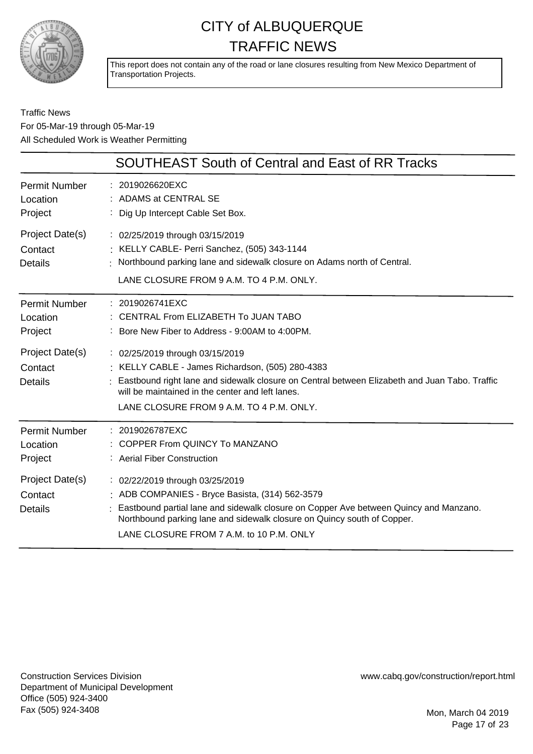

This report does not contain any of the road or lane closures resulting from New Mexico Department of Transportation Projects.

Traffic News For 05-Mar-19 through 05-Mar-19 All Scheduled Work is Weather Permitting

|                                              | SOUTHEAST South of Central and East of RR Tracks                                                                                                                                                                                                                                                   |
|----------------------------------------------|----------------------------------------------------------------------------------------------------------------------------------------------------------------------------------------------------------------------------------------------------------------------------------------------------|
| <b>Permit Number</b><br>Location<br>Project  | : 2019026620EXC<br>: ADAMS at CENTRAL SE<br>Dig Up Intercept Cable Set Box.                                                                                                                                                                                                                        |
| Project Date(s)<br>Contact<br><b>Details</b> | : 02/25/2019 through 03/15/2019<br>: KELLY CABLE- Perri Sanchez, (505) 343-1144<br>Northbound parking lane and sidewalk closure on Adams north of Central.<br>LANE CLOSURE FROM 9 A.M. TO 4 P.M. ONLY.                                                                                             |
| <b>Permit Number</b><br>Location<br>Project  | : 2019026741EXC<br>CENTRAL From ELIZABETH To JUAN TABO<br>: Bore New Fiber to Address - 9:00AM to 4:00PM.                                                                                                                                                                                          |
| Project Date(s)<br>Contact<br><b>Details</b> | : 02/25/2019 through 03/15/2019<br>: KELLY CABLE - James Richardson, (505) 280-4383<br>Eastbound right lane and sidewalk closure on Central between Elizabeth and Juan Tabo. Traffic<br>will be maintained in the center and left lanes.<br>LANE CLOSURE FROM 9 A.M. TO 4 P.M. ONLY.               |
| <b>Permit Number</b><br>Location<br>Project  | : 2019026787EXC<br>: COPPER From QUINCY To MANZANO<br>: Aerial Fiber Construction                                                                                                                                                                                                                  |
| Project Date(s)<br>Contact<br><b>Details</b> | : 02/22/2019 through 03/25/2019<br>: ADB COMPANIES - Bryce Basista, (314) 562-3579<br>Eastbound partial lane and sidewalk closure on Copper Ave between Quincy and Manzano.<br>Northbound parking lane and sidewalk closure on Quincy south of Copper.<br>LANE CLOSURE FROM 7 A.M. to 10 P.M. ONLY |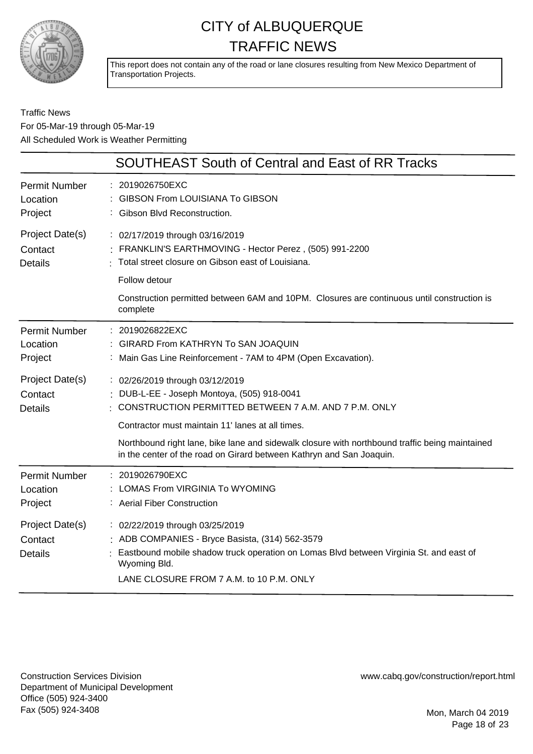

This report does not contain any of the road or lane closures resulting from New Mexico Department of Transportation Projects.

#### Traffic News For 05-Mar-19 through 05-Mar-19 All Scheduled Work is Weather Permitting

|                                              | <b>SOUTHEAST South of Central and East of RR Tracks</b>                                                                                                                                                                                |
|----------------------------------------------|----------------------------------------------------------------------------------------------------------------------------------------------------------------------------------------------------------------------------------------|
| <b>Permit Number</b>                         | 2019026750EXC                                                                                                                                                                                                                          |
| Location                                     | <b>GIBSON From LOUISIANA To GIBSON</b>                                                                                                                                                                                                 |
| Project                                      | Gibson Blvd Reconstruction.                                                                                                                                                                                                            |
| Project Date(s)                              | : 02/17/2019 through 03/16/2019                                                                                                                                                                                                        |
| Contact                                      | FRANKLIN'S EARTHMOVING - Hector Perez, (505) 991-2200                                                                                                                                                                                  |
| <b>Details</b>                               | Total street closure on Gibson east of Louisiana.                                                                                                                                                                                      |
|                                              | Follow detour<br>Construction permitted between 6AM and 10PM. Closures are continuous until construction is<br>complete                                                                                                                |
| <b>Permit Number</b>                         | 2019026822EXC                                                                                                                                                                                                                          |
| Location                                     | <b>GIRARD From KATHRYN To SAN JOAQUIN</b>                                                                                                                                                                                              |
| Project                                      | Main Gas Line Reinforcement - 7AM to 4PM (Open Excavation).                                                                                                                                                                            |
| Project Date(s)                              | : 02/26/2019 through 03/12/2019                                                                                                                                                                                                        |
| Contact                                      | DUB-L-EE - Joseph Montoya, (505) 918-0041                                                                                                                                                                                              |
| <b>Details</b>                               | CONSTRUCTION PERMITTED BETWEEN 7 A.M. AND 7 P.M. ONLY                                                                                                                                                                                  |
|                                              | Contractor must maintain 11' lanes at all times.<br>Northbound right lane, bike lane and sidewalk closure with northbound traffic being maintained<br>in the center of the road on Girard between Kathryn and San Joaquin.             |
| Permit Number                                | 2019026790EXC                                                                                                                                                                                                                          |
| Location                                     | LOMAS From VIRGINIA To WYOMING                                                                                                                                                                                                         |
| Project                                      | : Aerial Fiber Construction                                                                                                                                                                                                            |
| Project Date(s)<br>Contact<br><b>Details</b> | : 02/22/2019 through 03/25/2019<br>ADB COMPANIES - Bryce Basista, (314) 562-3579<br>Eastbound mobile shadow truck operation on Lomas Blvd between Virginia St. and east of<br>Wyoming Bld.<br>LANE CLOSURE FROM 7 A.M. to 10 P.M. ONLY |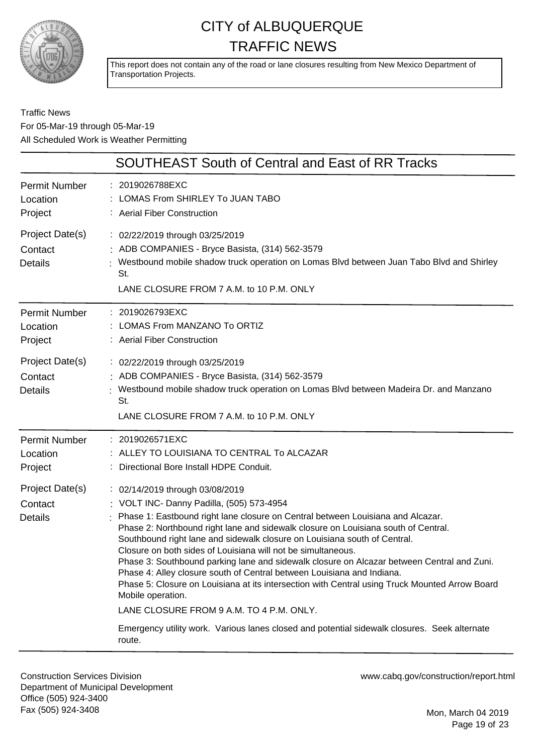

This report does not contain any of the road or lane closures resulting from New Mexico Department of Transportation Projects.

#### Traffic News For 05-Mar-19 through 05-Mar-19 All Scheduled Work is Weather Permitting

| <b>SOUTHEAST South of Central and East of RR Tracks</b>                                                                                                                                                                                                                                                                                                                                                                                                                                                                                                                                                                                                                                                                                                                                                                                                                                                                                                            |
|--------------------------------------------------------------------------------------------------------------------------------------------------------------------------------------------------------------------------------------------------------------------------------------------------------------------------------------------------------------------------------------------------------------------------------------------------------------------------------------------------------------------------------------------------------------------------------------------------------------------------------------------------------------------------------------------------------------------------------------------------------------------------------------------------------------------------------------------------------------------------------------------------------------------------------------------------------------------|
| : 2019026788EXC<br>LOMAS From SHIRLEY To JUAN TABO<br>: Aerial Fiber Construction                                                                                                                                                                                                                                                                                                                                                                                                                                                                                                                                                                                                                                                                                                                                                                                                                                                                                  |
| : 02/22/2019 through 03/25/2019<br>: ADB COMPANIES - Bryce Basista, (314) 562-3579<br>: Westbound mobile shadow truck operation on Lomas Blvd between Juan Tabo Blvd and Shirley<br>St.<br>LANE CLOSURE FROM 7 A.M. to 10 P.M. ONLY                                                                                                                                                                                                                                                                                                                                                                                                                                                                                                                                                                                                                                                                                                                                |
| : 2019026793EXC<br>: LOMAS From MANZANO To ORTIZ<br>: Aerial Fiber Construction                                                                                                                                                                                                                                                                                                                                                                                                                                                                                                                                                                                                                                                                                                                                                                                                                                                                                    |
| : 02/22/2019 through 03/25/2019<br>: ADB COMPANIES - Bryce Basista, (314) 562-3579<br>: Westbound mobile shadow truck operation on Lomas Blvd between Madeira Dr. and Manzano<br>St.<br>LANE CLOSURE FROM 7 A.M. to 10 P.M. ONLY                                                                                                                                                                                                                                                                                                                                                                                                                                                                                                                                                                                                                                                                                                                                   |
| : 2019026571EXC<br>: ALLEY TO LOUISIANA TO CENTRAL To ALCAZAR<br>Directional Bore Install HDPE Conduit.<br>: 02/14/2019 through 03/08/2019<br>: VOLT INC- Danny Padilla, (505) 573-4954<br>Phase 1: Eastbound right lane closure on Central between Louisiana and Alcazar.<br>Phase 2: Northbound right lane and sidewalk closure on Louisiana south of Central.<br>Southbound right lane and sidewalk closure on Louisiana south of Central.<br>Closure on both sides of Louisiana will not be simultaneous.<br>Phase 3: Southbound parking lane and sidewalk closure on Alcazar between Central and Zuni.<br>Phase 4: Alley closure south of Central between Louisiana and Indiana.<br>Phase 5: Closure on Louisiana at its intersection with Central using Truck Mounted Arrow Board<br>Mobile operation.<br>LANE CLOSURE FROM 9 A.M. TO 4 P.M. ONLY.<br>Emergency utility work. Various lanes closed and potential sidewalk closures. Seek alternate<br>route. |
|                                                                                                                                                                                                                                                                                                                                                                                                                                                                                                                                                                                                                                                                                                                                                                                                                                                                                                                                                                    |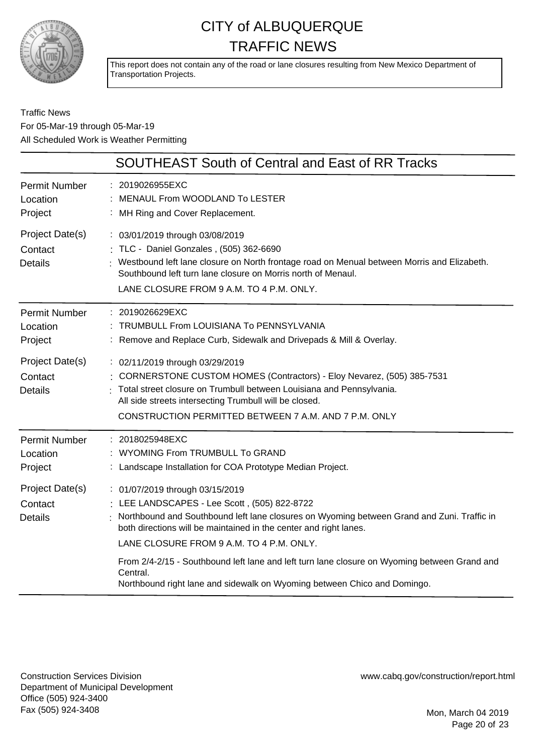

This report does not contain any of the road or lane closures resulting from New Mexico Department of Transportation Projects.

#### Traffic News For 05-Mar-19 through 05-Mar-19 All Scheduled Work is Weather Permitting

|                                              | <b>SOUTHEAST South of Central and East of RR Tracks</b>                                                                                                                                                                                                                                               |
|----------------------------------------------|-------------------------------------------------------------------------------------------------------------------------------------------------------------------------------------------------------------------------------------------------------------------------------------------------------|
| <b>Permit Number</b><br>Location<br>Project  | : 2019026955EXC<br>MENAUL From WOODLAND To LESTER<br>: MH Ring and Cover Replacement.                                                                                                                                                                                                                 |
| Project Date(s)<br>Contact<br><b>Details</b> | : 03/01/2019 through 03/08/2019<br>: TLC - Daniel Gonzales, (505) 362-6690<br>: Westbound left lane closure on North frontage road on Menual between Morris and Elizabeth.<br>Southbound left turn lane closure on Morris north of Menaul.<br>LANE CLOSURE FROM 9 A.M. TO 4 P.M. ONLY.                |
| <b>Permit Number</b><br>Location<br>Project  | : 2019026629EXC<br>TRUMBULL From LOUISIANA To PENNSYLVANIA<br>: Remove and Replace Curb, Sidewalk and Drivepads & Mill & Overlay.                                                                                                                                                                     |
| Project Date(s)<br>Contact<br><b>Details</b> | : 02/11/2019 through 03/29/2019<br>: CORNERSTONE CUSTOM HOMES (Contractors) - Eloy Nevarez, (505) 385-7531<br>Total street closure on Trumbull between Louisiana and Pennsylvania.<br>All side streets intersecting Trumbull will be closed.<br>CONSTRUCTION PERMITTED BETWEEN 7 A.M. AND 7 P.M. ONLY |
| <b>Permit Number</b><br>Location<br>Project  | : 2018025948EXC<br>: WYOMING From TRUMBULL To GRAND<br>: Landscape Installation for COA Prototype Median Project.                                                                                                                                                                                     |
| Project Date(s)<br>Contact<br><b>Details</b> | : 01/07/2019 through 03/15/2019<br>: LEE LANDSCAPES - Lee Scott, (505) 822-8722<br>Northbound and Southbound left lane closures on Wyoming between Grand and Zuni. Traffic in<br>both directions will be maintained in the center and right lanes.<br>LANE CLOSURE FROM 9 A.M. TO 4 P.M. ONLY.        |
|                                              | From 2/4-2/15 - Southbound left lane and left turn lane closure on Wyoming between Grand and<br>Central.<br>Northbound right lane and sidewalk on Wyoming between Chico and Domingo.                                                                                                                  |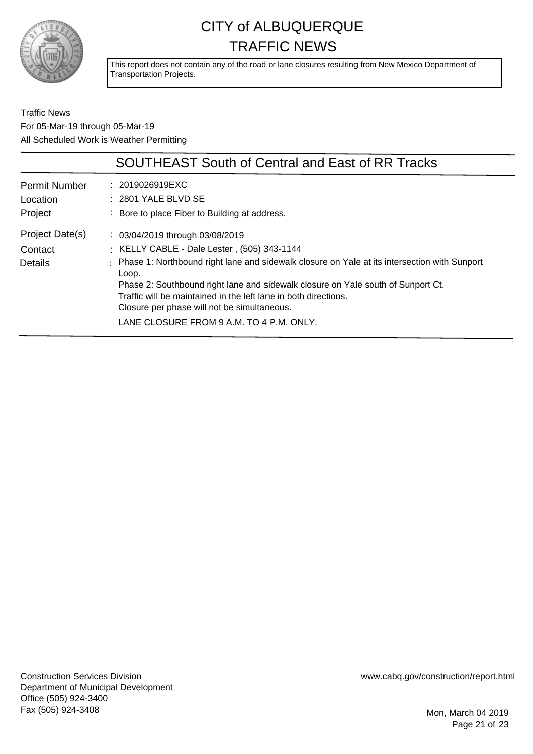

This report does not contain any of the road or lane closures resulting from New Mexico Department of Transportation Projects.

Traffic News For 05-Mar-19 through 05-Mar-19 All Scheduled Work is Weather Permitting

|                      | <b>SOUTHEAST South of Central and East of RR Tracks</b>                                                 |
|----------------------|---------------------------------------------------------------------------------------------------------|
| <b>Permit Number</b> | : 2019026919EXC                                                                                         |
| Location             | $: 2801$ YALE BLVD SE                                                                                   |
| Project              | : Bore to place Fiber to Building at address.                                                           |
| Project Date(s)      | : 03/04/2019 through 03/08/2019                                                                         |
| Contact              | : KELLY CABLE - Dale Lester, (505) 343-1144                                                             |
| <b>Details</b>       | : Phase 1: Northbound right lane and sidewalk closure on Yale at its intersection with Sunport<br>Loop. |
|                      | Phase 2: Southbound right lane and sidewalk closure on Yale south of Sunport Ct.                        |
|                      | Traffic will be maintained in the left lane in both directions.                                         |
|                      | Closure per phase will not be simultaneous.                                                             |
|                      | LANE CLOSURE FROM 9 A.M. TO 4 P.M. ONLY.                                                                |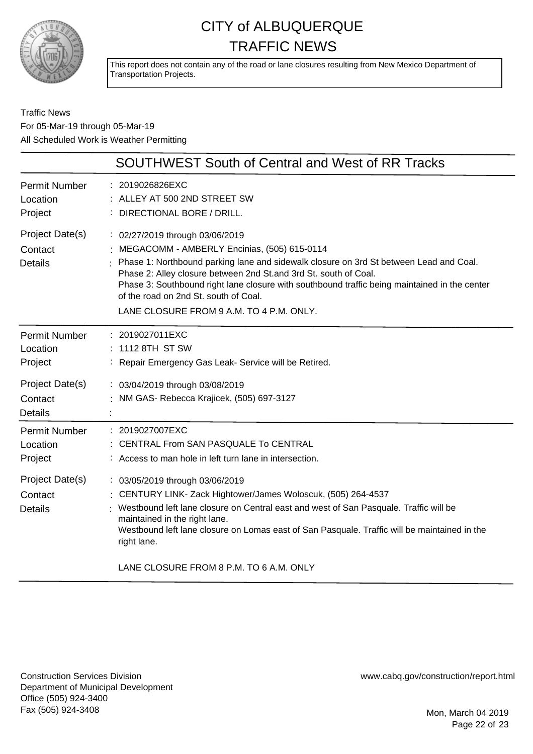

This report does not contain any of the road or lane closures resulting from New Mexico Department of Transportation Projects.

Traffic News For 05-Mar-19 through 05-Mar-19 All Scheduled Work is Weather Permitting

|                                              | SOUTHWEST South of Central and West of RR Tracks                                                                                                                                                                                                                                                                                                                                                                                    |
|----------------------------------------------|-------------------------------------------------------------------------------------------------------------------------------------------------------------------------------------------------------------------------------------------------------------------------------------------------------------------------------------------------------------------------------------------------------------------------------------|
| <b>Permit Number</b><br>Location<br>Project  | : 2019026826EXC<br>: ALLEY AT 500 2ND STREET SW<br>DIRECTIONAL BORE / DRILL.                                                                                                                                                                                                                                                                                                                                                        |
| Project Date(s)<br>Contact<br><b>Details</b> | : 02/27/2019 through 03/06/2019<br>MEGACOMM - AMBERLY Encinias, (505) 615-0114<br>Phase 1: Northbound parking lane and sidewalk closure on 3rd St between Lead and Coal.<br>Phase 2: Alley closure between 2nd St. and 3rd St. south of Coal.<br>Phase 3: Southbound right lane closure with southbound traffic being maintained in the center<br>of the road on 2nd St. south of Coal.<br>LANE CLOSURE FROM 9 A.M. TO 4 P.M. ONLY. |
| <b>Permit Number</b><br>Location<br>Project  | : 2019027011EXC<br>1112 8TH ST SW<br>Repair Emergency Gas Leak- Service will be Retired.                                                                                                                                                                                                                                                                                                                                            |
| Project Date(s)<br>Contact<br><b>Details</b> | : 03/04/2019 through 03/08/2019<br>: NM GAS- Rebecca Krajicek, (505) 697-3127                                                                                                                                                                                                                                                                                                                                                       |
| <b>Permit Number</b><br>Location<br>Project  | : 2019027007EXC<br>CENTRAL From SAN PASQUALE To CENTRAL<br>: Access to man hole in left turn lane in intersection.                                                                                                                                                                                                                                                                                                                  |
| Project Date(s)<br>Contact<br><b>Details</b> | : 03/05/2019 through 03/06/2019<br>: CENTURY LINK- Zack Hightower/James Woloscuk, (505) 264-4537<br>Westbound left lane closure on Central east and west of San Pasquale. Traffic will be<br>maintained in the right lane.<br>Westbound left lane closure on Lomas east of San Pasquale. Traffic will be maintained in the<br>right lane.<br>LANE CLOSURE FROM 8 P.M. TO 6 A.M. ONLY                                                |